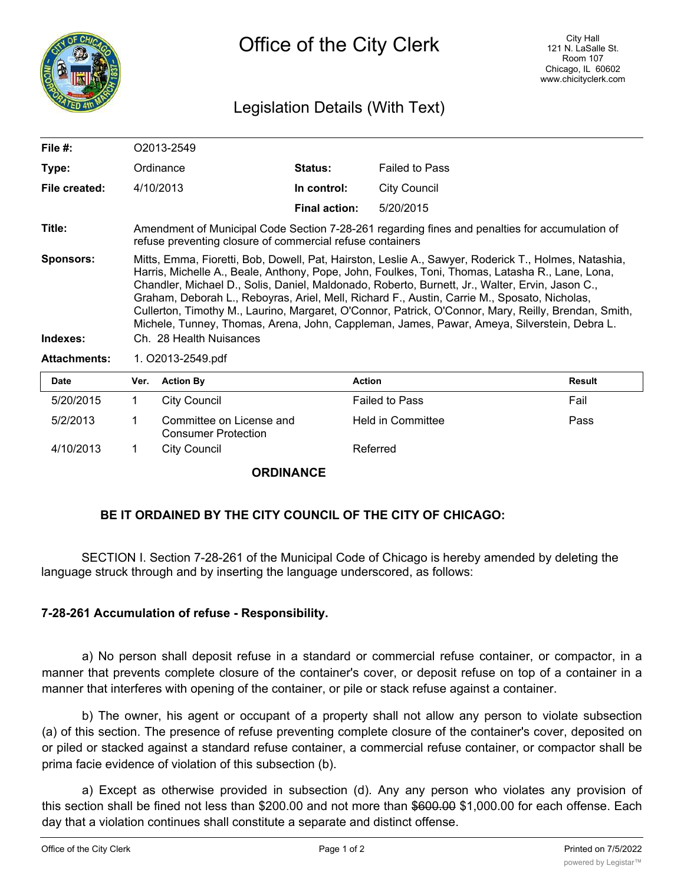

## Legislation Details (With Text)

| File $#$ :                   | O2013-2549                                                                                                                                                                                                                                                                                                                                                                                                                                                                                                                                                                                                                                   |                                                                                                                                                             |                      |                       |               |  |  |
|------------------------------|----------------------------------------------------------------------------------------------------------------------------------------------------------------------------------------------------------------------------------------------------------------------------------------------------------------------------------------------------------------------------------------------------------------------------------------------------------------------------------------------------------------------------------------------------------------------------------------------------------------------------------------------|-------------------------------------------------------------------------------------------------------------------------------------------------------------|----------------------|-----------------------|---------------|--|--|
| Type:                        |                                                                                                                                                                                                                                                                                                                                                                                                                                                                                                                                                                                                                                              | Ordinance                                                                                                                                                   | <b>Status:</b>       | <b>Failed to Pass</b> |               |  |  |
| File created:                |                                                                                                                                                                                                                                                                                                                                                                                                                                                                                                                                                                                                                                              | 4/10/2013                                                                                                                                                   | In control:          | <b>City Council</b>   |               |  |  |
|                              |                                                                                                                                                                                                                                                                                                                                                                                                                                                                                                                                                                                                                                              |                                                                                                                                                             | <b>Final action:</b> | 5/20/2015             |               |  |  |
| Title:                       |                                                                                                                                                                                                                                                                                                                                                                                                                                                                                                                                                                                                                                              | Amendment of Municipal Code Section 7-28-261 regarding fines and penalties for accumulation of<br>refuse preventing closure of commercial refuse containers |                      |                       |               |  |  |
| <b>Sponsors:</b><br>Indexes: | Mitts, Emma, Fioretti, Bob, Dowell, Pat, Hairston, Leslie A., Sawyer, Roderick T., Holmes, Natashia,<br>Harris, Michelle A., Beale, Anthony, Pope, John, Foulkes, Toni, Thomas, Latasha R., Lane, Lona,<br>Chandler, Michael D., Solis, Daniel, Maldonado, Roberto, Burnett, Jr., Walter, Ervin, Jason C.,<br>Graham, Deborah L., Reboyras, Ariel, Mell, Richard F., Austin, Carrie M., Sposato, Nicholas,<br>Cullerton, Timothy M., Laurino, Margaret, O'Connor, Patrick, O'Connor, Mary, Reilly, Brendan, Smith,<br>Michele, Tunney, Thomas, Arena, John, Cappleman, James, Pawar, Ameya, Silverstein, Debra L.<br>Ch. 28 Health Nuisances |                                                                                                                                                             |                      |                       |               |  |  |
|                              |                                                                                                                                                                                                                                                                                                                                                                                                                                                                                                                                                                                                                                              |                                                                                                                                                             |                      |                       |               |  |  |
| <b>Attachments:</b>          | 1. O2013-2549.pdf                                                                                                                                                                                                                                                                                                                                                                                                                                                                                                                                                                                                                            |                                                                                                                                                             |                      |                       |               |  |  |
| Date                         | Ver.                                                                                                                                                                                                                                                                                                                                                                                                                                                                                                                                                                                                                                         | <b>Action By</b>                                                                                                                                            | <b>Action</b>        |                       | <b>Result</b> |  |  |
| 5/20/2015                    |                                                                                                                                                                                                                                                                                                                                                                                                                                                                                                                                                                                                                                              | <b>City Council</b>                                                                                                                                         |                      | <b>Failed to Pass</b> | Fail          |  |  |

| 4/10/2013 | City Council               | Referred          |      |
|-----------|----------------------------|-------------------|------|
|           | <b>Consumer Protection</b> |                   |      |
| 5/2/2013  | Committee on License and   | Held in Committee | Pass |
|           |                            |                   |      |

## **ORDINANCE**

## **BE IT ORDAINED BY THE CITY COUNCIL OF THE CITY OF CHICAGO:**

SECTION I. Section 7-28-261 of the Municipal Code of Chicago is hereby amended by deleting the language struck through and by inserting the language underscored, as follows:

## **7-28-261 Accumulation of refuse - Responsibility.**

a) No person shall deposit refuse in a standard or commercial refuse container, or compactor, in a manner that prevents complete closure of the container's cover, or deposit refuse on top of a container in a manner that interferes with opening of the container, or pile or stack refuse against a container.

b) The owner, his agent or occupant of a property shall not allow any person to violate subsection (a) of this section. The presence of refuse preventing complete closure of the container's cover, deposited on or piled or stacked against a standard refuse container, a commercial refuse container, or compactor shall be prima facie evidence of violation of this subsection (b).

a) Except as otherwise provided in subsection (d). Any any person who violates any provision of this section shall be fined not less than \$200.00 and not more than \$600.00 \$1,000.00 for each offense. Each day that a violation continues shall constitute a separate and distinct offense.